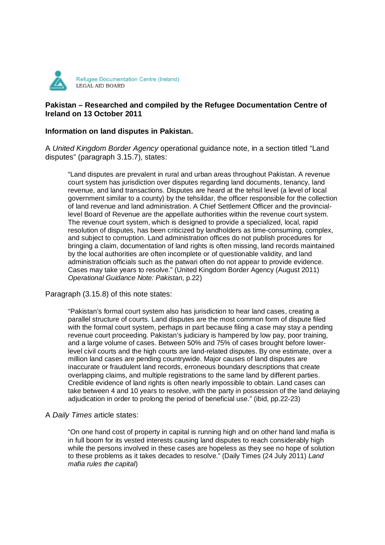

# **Pakistan – Researched and compiled by the Refugee Documentation Centre of Ireland on 13 October 2011**

## **Information on land disputes in Pakistan.**

A United Kingdom Border Agency operational guidance note, in a section titled "Land disputes" (paragraph 3.15.7), states:

"Land disputes are prevalent in rural and urban areas throughout Pakistan. A revenue court system has jurisdiction over disputes regarding land documents, tenancy, land revenue, and land transactions. Disputes are heard at the tehsil level (a level of local government similar to a county) by the tehsildar, the officer responsible for the collection of land revenue and land administration. A Chief Settlement Officer and the provinciallevel Board of Revenue are the appellate authorities within the revenue court system. The revenue court system, which is designed to provide a specialized, local, rapid resolution of disputes, has been criticized by landholders as time-consuming, complex, and subject to corruption. Land administration offices do not publish procedures for bringing a claim, documentation of land rights is often missing, land records maintained by the local authorities are often incomplete or of questionable validity, and land administration officials such as the patwari often do not appear to provide evidence. Cases may take years to resolve." (United Kingdom Border Agency (August 2011) Operational Guidance Note: Pakistan, p.22)

Paragraph (3.15.8) of this note states:

"Pakistan's formal court system also has jurisdiction to hear land cases, creating a parallel structure of courts. Land disputes are the most common form of dispute filed with the formal court system, perhaps in part because filing a case may stay a pending revenue court proceeding. Pakistan's judiciary is hampered by low pay, poor training, and a large volume of cases. Between 50% and 75% of cases brought before lowerlevel civil courts and the high courts are land-related disputes. By one estimate, over a million land cases are pending countrywide. Major causes of land disputes are inaccurate or fraudulent land records, erroneous boundary descriptions that create overlapping claims, and multiple registrations to the same land by different parties. Credible evidence of land rights is often nearly impossible to obtain. Land cases can take between 4 and 10 years to resolve, with the party in possession of the land delaying adjudication in order to prolong the period of beneficial use." (ibid, pp.22-23)

## A Daily Times article states:

"On one hand cost of property in capital is running high and on other hand land mafia is in full boom for its vested interests causing land disputes to reach considerably high while the persons involved in these cases are hopeless as they see no hope of solution to these problems as it takes decades to resolve." (Daily Times (24 July 2011) Land mafia rules the capital)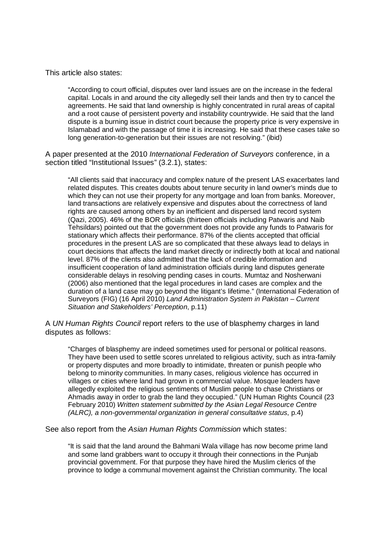This article also states:

"According to court official, disputes over land issues are on the increase in the federal capital. Locals in and around the city allegedly sell their lands and then try to cancel the agreements. He said that land ownership is highly concentrated in rural areas of capital and a root cause of persistent poverty and instability countrywide. He said that the land dispute is a burning issue in district court because the property price is very expensive in Islamabad and with the passage of time it is increasing. He said that these cases take so long generation-to-generation but their issues are not resolving." (ibid)

A paper presented at the 2010 International Federation of Surveyors conference, in a section titled "Institutional Issues" (3.2.1), states:

"All clients said that inaccuracy and complex nature of the present LAS exacerbates land related disputes. This creates doubts about tenure security in land owner's minds due to which they can not use their property for any mortgage and loan from banks. Moreover, land transactions are relatively expensive and disputes about the correctness of land rights are caused among others by an inefficient and dispersed land record system (Qazi, 2005). 46% of the BOR officials (thirteen officials including Patwaris and Naib Tehsildars) pointed out that the government does not provide any funds to Patwaris for stationary which affects their performance. 87% of the clients accepted that official procedures in the present LAS are so complicated that these always lead to delays in court decisions that affects the land market directly or indirectly both at local and national level. 87% of the clients also admitted that the lack of credible information and insufficient cooperation of land administration officials during land disputes generate considerable delays in resolving pending cases in courts. Mumtaz and Nosherwani (2006) also mentioned that the legal procedures in land cases are complex and the duration of a land case may go beyond the litigant's lifetime." (International Federation of Surveyors (FIG) (16 April 2010) Land Administration System in Pakistan – Current Situation and Stakeholders' Perception, p.11)

A UN Human Rights Council report refers to the use of blasphemy charges in land disputes as follows:

"Charges of blasphemy are indeed sometimes used for personal or political reasons. They have been used to settle scores unrelated to religious activity, such as intra-family or property disputes and more broadly to intimidate, threaten or punish people who belong to minority communities. In many cases, religious violence has occurred in villages or cities where land had grown in commercial value. Mosque leaders have allegedly exploited the religious sentiments of Muslim people to chase Christians or Ahmadis away in order to grab the land they occupied." (UN Human Rights Council (23 February 2010) Written statement submitted by the Asian Legal Resource Centre (ALRC), a non-governmental organization in general consultative status, p.4)

See also report from the Asian Human Rights Commission which states:

"It is said that the land around the Bahmani Wala village has now become prime land and some land grabbers want to occupy it through their connections in the Punjab provincial government. For that purpose they have hired the Muslim clerics of the province to lodge a communal movement against the Christian community. The local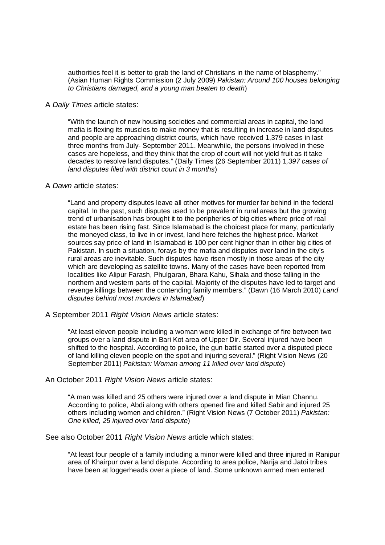authorities feel it is better to grab the land of Christians in the name of blasphemy." (Asian Human Rights Commission (2 July 2009) Pakistan: Around 100 houses belonging to Christians damaged, and a young man beaten to death)

#### A Daily Times article states:

"With the launch of new housing societies and commercial areas in capital, the land mafia is flexing its muscles to make money that is resulting in increase in land disputes and people are approaching district courts, which have received 1,379 cases in last three months from July- September 2011. Meanwhile, the persons involved in these cases are hopeless, and they think that the crop of court will not yield fruit as it take decades to resolve land disputes." (Daily Times (26 September 2011) 1,397 cases of land disputes filed with district court in 3 months)

#### A Dawn article states:

"Land and property disputes leave all other motives for murder far behind in the federal capital. In the past, such disputes used to be prevalent in rural areas but the growing trend of urbanisation has brought it to the peripheries of big cities where price of real estate has been rising fast. Since Islamabad is the choicest place for many, particularly the moneyed class, to live in or invest, land here fetches the highest price. Market sources say price of land in Islamabad is 100 per cent higher than in other big cities of Pakistan. In such a situation, forays by the mafia and disputes over land in the city's rural areas are inevitable. Such disputes have risen mostly in those areas of the city which are developing as satellite towns. Many of the cases have been reported from localities like Alipur Farash, Phulgaran, Bhara Kahu, Sihala and those falling in the northern and western parts of the capital. Majority of the disputes have led to target and revenge killings between the contending family members." (Dawn (16 March 2010) Land disputes behind most murders in Islamabad)

## A September 2011 Right Vision News article states:

"At least eleven people including a woman were killed in exchange of fire between two groups over a land dispute in Bari Kot area of Upper Dir. Several injured have been shifted to the hospital. According to police, the gun battle started over a disputed piece of land killing eleven people on the spot and injuring several." (Right Vision News (20 September 2011) Pakistan: Woman among 11 killed over land dispute)

## An October 2011 Right Vision News article states:

"A man was killed and 25 others were injured over a land dispute in Mian Channu. According to police, Abdi along with others opened fire and killed Sabir and injured 25 others including women and children." (Right Vision News (7 October 2011) Pakistan: One killed, 25 injured over land dispute)

See also October 2011 Right Vision News article which states:

"At least four people of a family including a minor were killed and three injured in Ranipur area of Khairpur over a land dispute. According to area police, Narija and Jatoi tribes have been at loggerheads over a piece of land. Some unknown armed men entered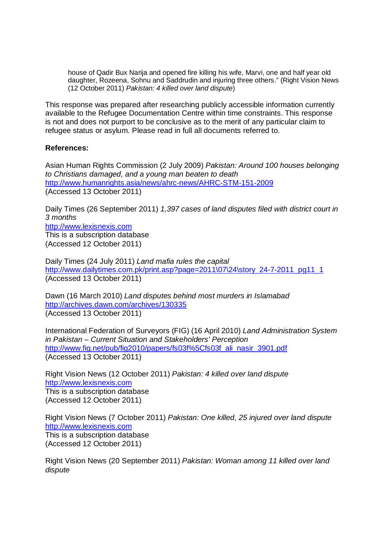house of Qadir Bux Narija and opened fire killing his wife, Marvi, one and half year old daughter, Rozeena, Sohnu and Saddrudin and injuring three others." (Right Vision News (12 October 2011) Pakistan: 4 killed over land dispute)

This response was prepared after researching publicly accessible information currently available to the Refugee Documentation Centre within time constraints. This response is not and does not purport to be conclusive as to the merit of any particular claim to refugee status or asylum. Please read in full all documents referred to.

## **References:**

Asian Human Rights Commission (2 July 2009) Pakistan: Around 100 houses belonging to Christians damaged, and a young man beaten to death http://www.humanrights.asia/news/ahrc-news/AHRC-STM-151-2009 (Accessed 13 October 2011)

Daily Times (26 September 2011) 1,397 cases of land disputes filed with district court in 3 months http://www.lexisnexis.com This is a subscription database (Accessed 12 October 2011)

Daily Times (24 July 2011) Land mafia rules the capital http://www.dailytimes.com.pk/print.asp?page=2011\07\24\story\_24-7-2011\_pg11\_1 (Accessed 13 October 2011)

Dawn (16 March 2010) Land disputes behind most murders in Islamabad http://archives.dawn.com/archives/130335 (Accessed 13 October 2011)

International Federation of Surveyors (FIG) (16 April 2010) Land Administration System in Pakistan – Current Situation and Stakeholders' Perception http://www.fig.net/pub/fig2010/papers/fs03f%5Cfs03f\_ali\_nasir\_3901.pdf (Accessed 13 October 2011)

Right Vision News (12 October 2011) Pakistan: 4 killed over land dispute http://www.lexisnexis.com This is a subscription database (Accessed 12 October 2011)

Right Vision News (7 October 2011) Pakistan: One killed, 25 injured over land dispute http://www.lexisnexis.com This is a subscription database (Accessed 12 October 2011)

Right Vision News (20 September 2011) Pakistan: Woman among 11 killed over land dispute